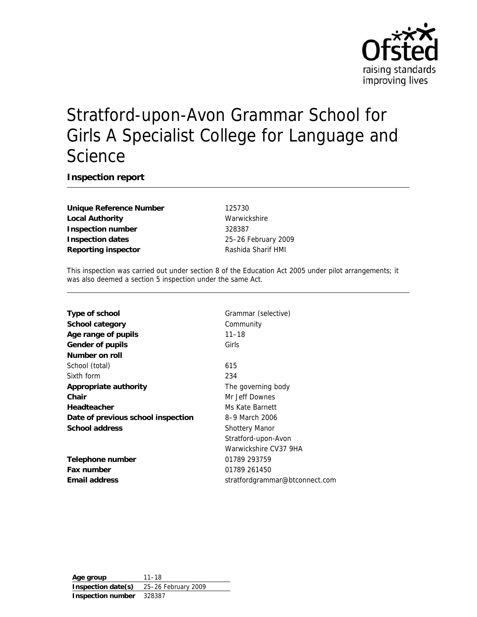

# Stratford-upon-Avon Grammar School for Girls A Specialist College for Language and **Science**

**Inspection report** 

**Unique Reference Number** 125730 Local Authority **Manual Authority** Warwickshire **Inspection number** 328387 **Inspection dates** 25–26 February 2009 **Reporting inspector** Rashida Sharif HMI

This inspection was carried out under section 8 of the Education Act 2005 under pilot arrangements; it was also deemed a section 5 inspection under the same Act.

| Type of school                     | Grammar (selective)            |
|------------------------------------|--------------------------------|
| School category                    | Community                      |
| Age range of pupils                | $11 - 18$                      |
| Gender of pupils                   | Girls                          |
| Number on roll                     |                                |
| School (total)                     | 615                            |
| Sixth form                         | 234                            |
| <b>Appropriate authority</b>       | The governing body             |
| Chair                              | Mr Jeff Downes                 |
| <b>Headteacher</b>                 | Ms Kate Barnett                |
| Date of previous school inspection | 8-9 March 2006                 |
| <b>School address</b>              | <b>Shottery Manor</b>          |
|                                    | Stratford-upon-Avon            |
|                                    | Warwickshire CV37 9HA          |
| <b>Telephone number</b>            | 01789 293759                   |
| Fax number                         | 01789 261450                   |
| <b>Email address</b>               | stratfordgrammar@btconnect.com |

**Age group** 11–18 **Inspection date(s)** 25–26 February 2009 **Inspection number** 328387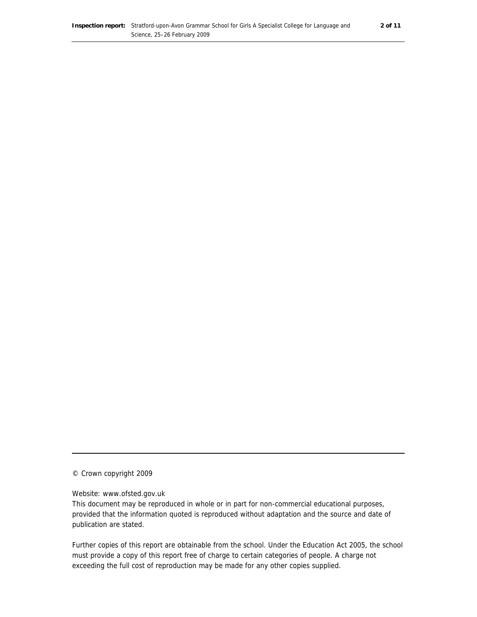© Crown copyright 2009

#### Website: www.ofsted.gov.uk

This document may be reproduced in whole or in part for non-commercial educational purposes, provided that the information quoted is reproduced without adaptation and the source and date of publication are stated.

Further copies of this report are obtainable from the school. Under the Education Act 2005, the school must provide a copy of this report free of charge to certain categories of people. A charge not exceeding the full cost of reproduction may be made for any other copies supplied.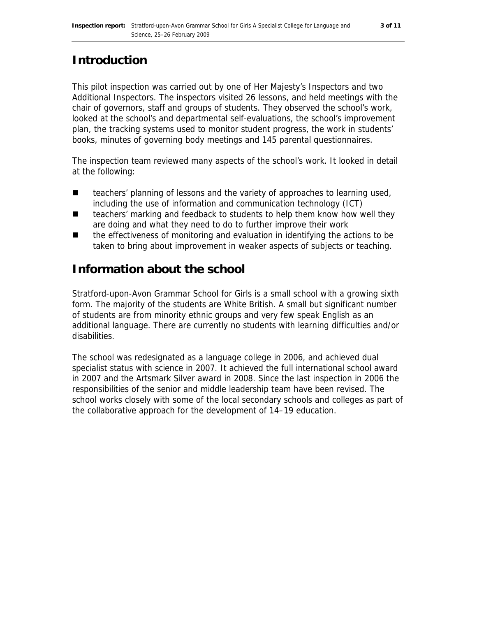# **Introduction**

This pilot inspection was carried out by one of Her Majesty's Inspectors and two Additional Inspectors. The inspectors visited 26 lessons, and held meetings with the chair of governors, staff and groups of students. They observed the school's work, looked at the school's and departmental self-evaluations, the school's improvement plan, the tracking systems used to monitor student progress, the work in students' books, minutes of governing body meetings and 145 parental questionnaires.

The inspection team reviewed many aspects of the school's work. It looked in detail at the following:

- teachers' planning of lessons and the variety of approaches to learning used, including the use of information and communication technology (ICT)
- teachers' marking and feedback to students to help them know how well they are doing and what they need to do to further improve their work
- the effectiveness of monitoring and evaluation in identifying the actions to be taken to bring about improvement in weaker aspects of subjects or teaching.

### **Information about the school**

Stratford-upon-Avon Grammar School for Girls is a small school with a growing sixth form. The majority of the students are White British. A small but significant number of students are from minority ethnic groups and very few speak English as an additional language. There are currently no students with learning difficulties and/or disabilities.

The school was redesignated as a language college in 2006, and achieved dual specialist status with science in 2007. It achieved the full international school award in 2007 and the Artsmark Silver award in 2008. Since the last inspection in 2006 the responsibilities of the senior and middle leadership team have been revised. The school works closely with some of the local secondary schools and colleges as part of the collaborative approach for the development of 14–19 education.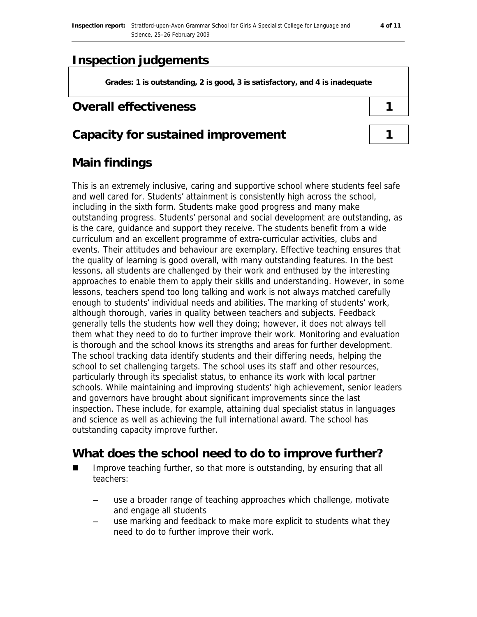### **Inspection judgements**

**Grades: 1 is outstanding, 2 is good, 3 is satisfactory, and 4 is inadequate** 

#### **Overall effectiveness** 1 **1**

#### **Capacity for sustained improvement 1**

## **Main findings**

This is an extremely inclusive, caring and supportive school where students feel safe and well cared for. Students' attainment is consistently high across the school, including in the sixth form. Students make good progress and many make outstanding progress. Students' personal and social development are outstanding, as is the care, guidance and support they receive. The students benefit from a wide curriculum and an excellent programme of extra-curricular activities, clubs and events. Their attitudes and behaviour are exemplary. Effective teaching ensures that the quality of learning is good overall, with many outstanding features. In the best lessons, all students are challenged by their work and enthused by the interesting approaches to enable them to apply their skills and understanding. However, in some lessons, teachers spend too long talking and work is not always matched carefully enough to students' individual needs and abilities. The marking of students' work, although thorough, varies in quality between teachers and subjects. Feedback generally tells the students how well they doing; however, it does not always tell them what they need to do to further improve their work. Monitoring and evaluation is thorough and the school knows its strengths and areas for further development. The school tracking data identify students and their differing needs, helping the school to set challenging targets. The school uses its staff and other resources, particularly through its specialist status, to enhance its work with local partner schools. While maintaining and improving students' high achievement, senior leaders and governors have brought about significant improvements since the last inspection. These include, for example, attaining dual specialist status in languages and science as well as achieving the full international award. The school has outstanding capacity improve further.

#### **What does the school need to do to improve further?**

- Improve teaching further, so that more is outstanding, by ensuring that all teachers:
	- use a broader range of teaching approaches which challenge, motivate and engage all students
	- use marking and feedback to make more explicit to students what they need to do to further improve their work.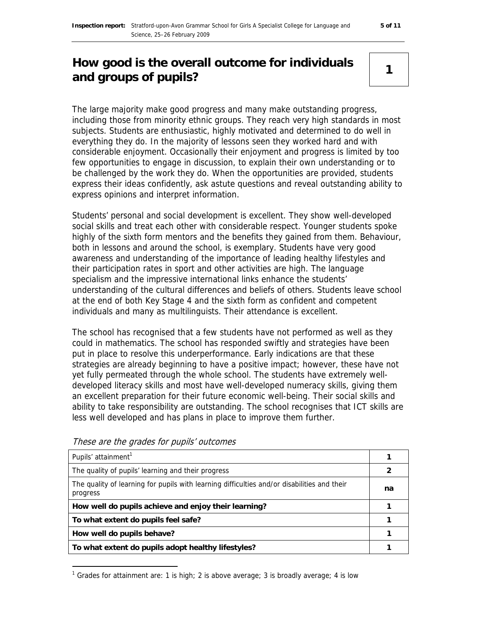#### **How good is the overall outcome for individuals and groups of pupils? <sup>1</sup>**

The large majority make good progress and many make outstanding progress, including those from minority ethnic groups. They reach very high standards in most subjects. Students are enthusiastic, highly motivated and determined to do well in everything they do. In the majority of lessons seen they worked hard and with considerable enjoyment. Occasionally their enjoyment and progress is limited by too few opportunities to engage in discussion, to explain their own understanding or to be challenged by the work they do. When the opportunities are provided, students express their ideas confidently, ask astute questions and reveal outstanding ability to express opinions and interpret information.

Students' personal and social development is excellent. They show well-developed social skills and treat each other with considerable respect. Younger students spoke highly of the sixth form mentors and the benefits they gained from them. Behaviour, both in lessons and around the school, is exemplary. Students have very good awareness and understanding of the importance of leading healthy lifestyles and their participation rates in sport and other activities are high. The language specialism and the impressive international links enhance the students' understanding of the cultural differences and beliefs of others. Students leave school at the end of both Key Stage 4 and the sixth form as confident and competent individuals and many as multilinguists. Their attendance is excellent.

The school has recognised that a few students have not performed as well as they could in mathematics. The school has responded swiftly and strategies have been put in place to resolve this underperformance. Early indications are that these strategies are already beginning to have a positive impact; however, these have not yet fully permeated through the whole school. The students have extremely welldeveloped literacy skills and most have well-developed numeracy skills, giving them an excellent preparation for their future economic well-being. Their social skills and ability to take responsibility are outstanding. The school recognises that ICT skills are less well developed and has plans in place to improve them further.

| Pupils' attainment <sup>1</sup>                                                                         |    |
|---------------------------------------------------------------------------------------------------------|----|
| The quality of pupils' learning and their progress                                                      | 2  |
| The quality of learning for pupils with learning difficulties and/or disabilities and their<br>progress | na |
| How well do pupils achieve and enjoy their learning?                                                    |    |
| To what extent do pupils feel safe?                                                                     |    |
| How well do pupils behave?                                                                              |    |
| To what extent do pupils adopt healthy lifestyles?                                                      |    |

These are the grades for pupils' outcomes

 $\overline{a}$ 

<sup>&</sup>lt;sup>1</sup> Grades for attainment are: 1 is high; 2 is above average; 3 is broadly average; 4 is low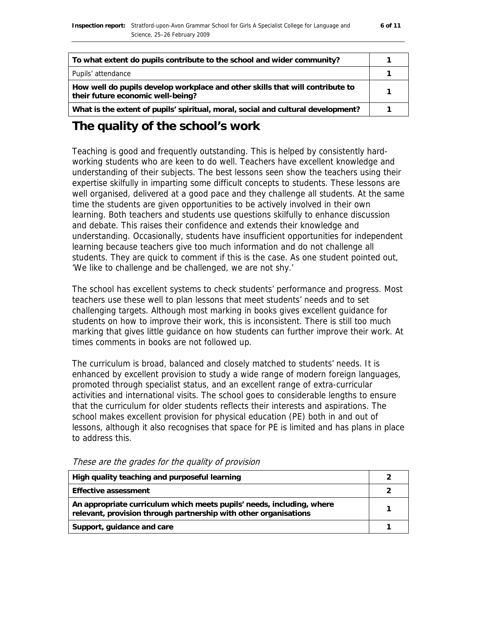| To what extent do pupils contribute to the school and wider community?                                             |  |
|--------------------------------------------------------------------------------------------------------------------|--|
| Pupils' attendance                                                                                                 |  |
| How well do pupils develop workplace and other skills that will contribute to<br>their future economic well-being? |  |
| What is the extent of pupils' spiritual, moral, social and cultural development?                                   |  |

#### **The quality of the school's work**

Teaching is good and frequently outstanding. This is helped by consistently hardworking students who are keen to do well. Teachers have excellent knowledge and understanding of their subjects. The best lessons seen show the teachers using their expertise skilfully in imparting some difficult concepts to students. These lessons are well organised, delivered at a good pace and they challenge all students. At the same time the students are given opportunities to be actively involved in their own learning. Both teachers and students use questions skilfully to enhance discussion and debate. This raises their confidence and extends their knowledge and understanding. Occasionally, students have insufficient opportunities for independent learning because teachers give too much information and do not challenge all students. They are quick to comment if this is the case. As one student pointed out, 'We like to challenge and be challenged, we are not shy.'

The school has excellent systems to check students' performance and progress. Most teachers use these well to plan lessons that meet students' needs and to set challenging targets. Although most marking in books gives excellent guidance for students on how to improve their work, this is inconsistent. There is still too much marking that gives little guidance on how students can further improve their work. At times comments in books are not followed up.

The curriculum is broad, balanced and closely matched to students' needs. It is enhanced by excellent provision to study a wide range of modern foreign languages, promoted through specialist status, and an excellent range of extra-curricular activities and international visits. The school goes to considerable lengths to ensure that the curriculum for older students reflects their interests and aspirations. The school makes excellent provision for physical education (PE) both in and out of lessons, although it also recognises that space for PE is limited and has plans in place to address this.

| High quality teaching and purposeful learning                                                                                             |  |
|-------------------------------------------------------------------------------------------------------------------------------------------|--|
| <b>Effective assessment</b>                                                                                                               |  |
| An appropriate curriculum which meets pupils' needs, including, where<br>relevant, provision through partnership with other organisations |  |
| Support, guidance and care                                                                                                                |  |

These are the grades for the quality of provision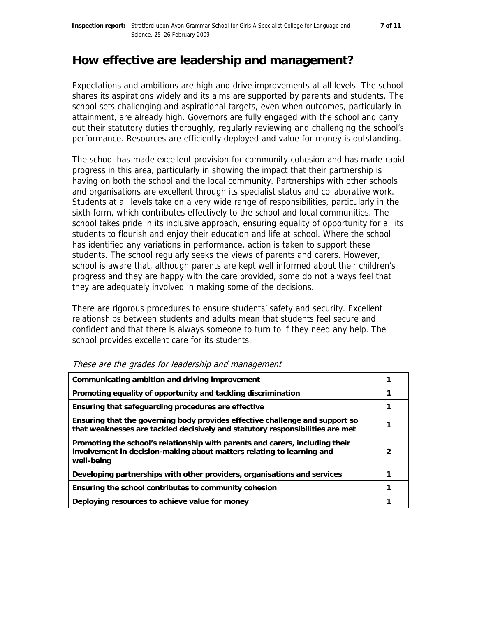#### **How effective are leadership and management?**

Expectations and ambitions are high and drive improvements at all levels. The school shares its aspirations widely and its aims are supported by parents and students. The school sets challenging and aspirational targets, even when outcomes, particularly in attainment, are already high. Governors are fully engaged with the school and carry out their statutory duties thoroughly, regularly reviewing and challenging the school's performance. Resources are efficiently deployed and value for money is outstanding.

The school has made excellent provision for community cohesion and has made rapid progress in this area, particularly in showing the impact that their partnership is having on both the school and the local community. Partnerships with other schools and organisations are excellent through its specialist status and collaborative work. Students at all levels take on a very wide range of responsibilities, particularly in the sixth form, which contributes effectively to the school and local communities. The school takes pride in its inclusive approach, ensuring equality of opportunity for all its students to flourish and enjoy their education and life at school. Where the school has identified any variations in performance, action is taken to support these students. The school regularly seeks the views of parents and carers. However, school is aware that, although parents are kept well informed about their children's progress and they are happy with the care provided, some do not always feel that they are adequately involved in making some of the decisions.

There are rigorous procedures to ensure students' safety and security. Excellent relationships between students and adults mean that students feel secure and confident and that there is always someone to turn to if they need any help. The school provides excellent care for its students.

| Communicating ambition and driving improvement                                                                                                                      |  |
|---------------------------------------------------------------------------------------------------------------------------------------------------------------------|--|
| Promoting equality of opportunity and tackling discrimination                                                                                                       |  |
| Ensuring that safeguarding procedures are effective                                                                                                                 |  |
| Ensuring that the governing body provides effective challenge and support so<br>that weaknesses are tackled decisively and statutory responsibilities are met       |  |
| Promoting the school's relationship with parents and carers, including their<br>involvement in decision-making about matters relating to learning and<br>well-being |  |
| Developing partnerships with other providers, organisations and services                                                                                            |  |
| Ensuring the school contributes to community cohesion                                                                                                               |  |
| Deploying resources to achieve value for money                                                                                                                      |  |

These are the grades for leadership and management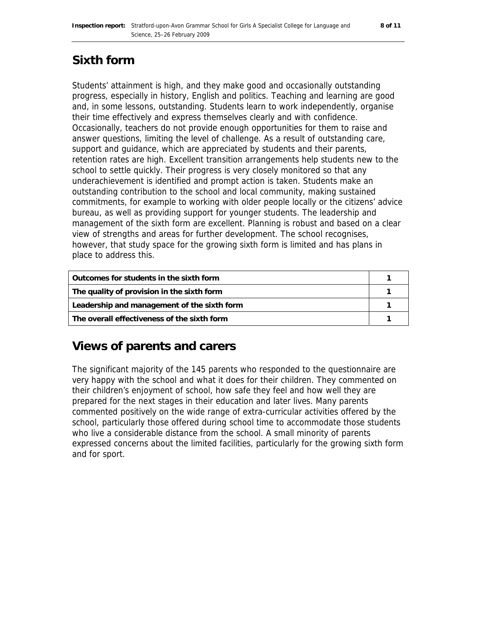# **Sixth form**

Students' attainment is high, and they make good and occasionally outstanding progress, especially in history, English and politics. Teaching and learning are good and, in some lessons, outstanding. Students learn to work independently, organise their time effectively and express themselves clearly and with confidence. Occasionally, teachers do not provide enough opportunities for them to raise and answer questions, limiting the level of challenge. As a result of outstanding care, support and guidance, which are appreciated by students and their parents, retention rates are high. Excellent transition arrangements help students new to the school to settle quickly. Their progress is very closely monitored so that any underachievement is identified and prompt action is taken. Students make an outstanding contribution to the school and local community, making sustained commitments, for example to working with older people locally or the citizens' advice bureau, as well as providing support for younger students. The leadership and management of the sixth form are excellent. Planning is robust and based on a clear view of strengths and areas for further development. The school recognises, however, that study space for the growing sixth form is limited and has plans in place to address this.

| Outcomes for students in the sixth form     |  |
|---------------------------------------------|--|
| The quality of provision in the sixth form  |  |
| Leadership and management of the sixth form |  |
| The overall effectiveness of the sixth form |  |

# **Views of parents and carers**

The significant majority of the 145 parents who responded to the questionnaire are very happy with the school and what it does for their children. They commented on their children's enjoyment of school, how safe they feel and how well they are prepared for the next stages in their education and later lives. Many parents commented positively on the wide range of extra-curricular activities offered by the school, particularly those offered during school time to accommodate those students who live a considerable distance from the school. A small minority of parents expressed concerns about the limited facilities, particularly for the growing sixth form and for sport.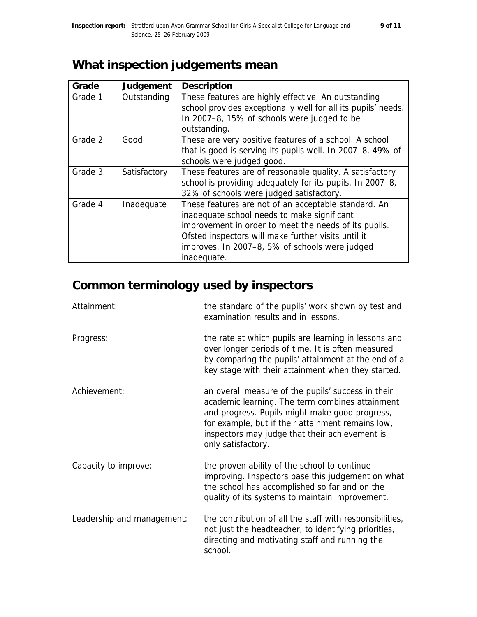# **What inspection judgements mean**

| Grade   | Judgement    | <b>Description</b>                                                                                                                                                                                                                                                                   |
|---------|--------------|--------------------------------------------------------------------------------------------------------------------------------------------------------------------------------------------------------------------------------------------------------------------------------------|
| Grade 1 | Outstanding  | These features are highly effective. An outstanding<br>school provides exceptionally well for all its pupils' needs.<br>In 2007-8, 15% of schools were judged to be<br>outstanding.                                                                                                  |
| Grade 2 | Good         | These are very positive features of a school. A school<br>that is good is serving its pupils well. In 2007-8, 49% of<br>schools were judged good.                                                                                                                                    |
| Grade 3 | Satisfactory | These features are of reasonable quality. A satisfactory<br>school is providing adequately for its pupils. In 2007-8,<br>32% of schools were judged satisfactory.                                                                                                                    |
| Grade 4 | Inadequate   | These features are not of an acceptable standard. An<br>inadequate school needs to make significant<br>improvement in order to meet the needs of its pupils.<br>Ofsted inspectors will make further visits until it<br>improves. In 2007-8, 5% of schools were judged<br>inadequate. |

# **Common terminology used by inspectors**

| Attainment:                | the standard of the pupils' work shown by test and<br>examination results and in lessons.                                                                                                                                                                                            |
|----------------------------|--------------------------------------------------------------------------------------------------------------------------------------------------------------------------------------------------------------------------------------------------------------------------------------|
| Progress:                  | the rate at which pupils are learning in lessons and<br>over longer periods of time. It is often measured<br>by comparing the pupils' attainment at the end of a<br>key stage with their attainment when they started.                                                               |
| Achievement:               | an overall measure of the pupils' success in their<br>academic learning. The term combines attainment<br>and progress. Pupils might make good progress,<br>for example, but if their attainment remains low,<br>inspectors may judge that their achievement is<br>only satisfactory. |
| Capacity to improve:       | the proven ability of the school to continue<br>improving. Inspectors base this judgement on what<br>the school has accomplished so far and on the<br>quality of its systems to maintain improvement.                                                                                |
| Leadership and management: | the contribution of all the staff with responsibilities,<br>not just the headteacher, to identifying priorities,<br>directing and motivating staff and running the<br>school.                                                                                                        |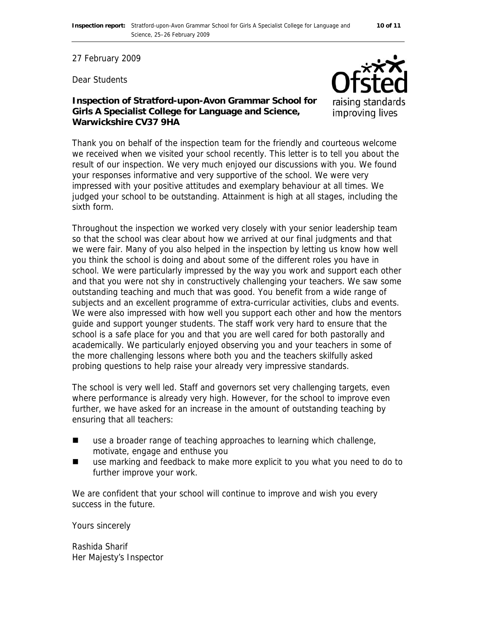27 February 2009

Dear Students



#### **Inspection of Stratford-upon-Avon Grammar School for Girls A Specialist College for Language and Science, Warwickshire CV37 9HA**

Thank you on behalf of the inspection team for the friendly and courteous welcome we received when we visited your school recently. This letter is to tell you about the result of our inspection. We very much enjoyed our discussions with you. We found your responses informative and very supportive of the school. We were very impressed with your positive attitudes and exemplary behaviour at all times. We judged your school to be outstanding. Attainment is high at all stages, including the sixth form.

Throughout the inspection we worked very closely with your senior leadership team so that the school was clear about how we arrived at our final judgments and that we were fair. Many of you also helped in the inspection by letting us know how well you think the school is doing and about some of the different roles you have in school. We were particularly impressed by the way you work and support each other and that you were not shy in constructively challenging your teachers. We saw some outstanding teaching and much that was good. You benefit from a wide range of subjects and an excellent programme of extra-curricular activities, clubs and events. We were also impressed with how well you support each other and how the mentors guide and support younger students. The staff work very hard to ensure that the school is a safe place for you and that you are well cared for both pastorally and academically. We particularly enjoyed observing you and your teachers in some of the more challenging lessons where both you and the teachers skilfully asked probing questions to help raise your already very impressive standards.

The school is very well led. Staff and governors set very challenging targets, even where performance is already very high. However, for the school to improve even further, we have asked for an increase in the amount of outstanding teaching by ensuring that all teachers:

- use a broader range of teaching approaches to learning which challenge, motivate, engage and enthuse you
- use marking and feedback to make more explicit to you what you need to do to further improve your work.

We are confident that your school will continue to improve and wish you every success in the future.

Yours sincerely

Rashida Sharif Her Majesty's Inspector